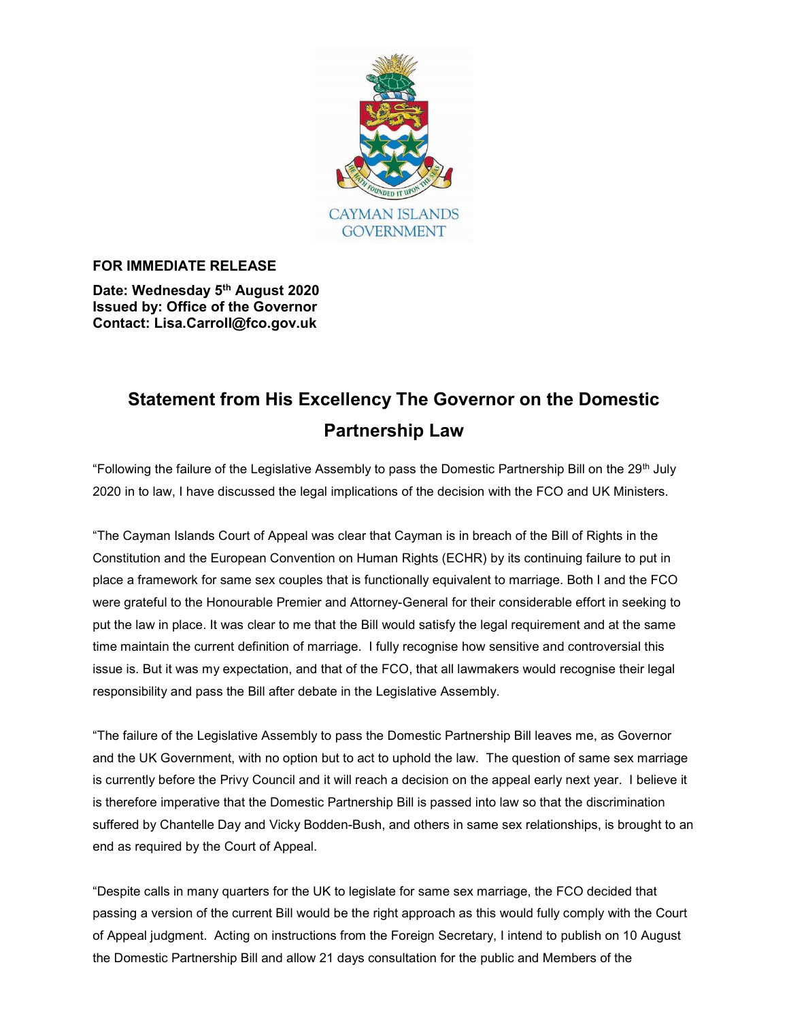

## FOR IMMEDIATE RELEASE

Date: Wednesday 5<sup>th</sup> August 2020 Issued by: Office of the Governor Contact: Lisa.Carroll@fco.gov.uk

## Statement from His Excellency The Governor on the Domestic Partnership Law

"Following the failure of the Legislative Assembly to pass the Domestic Partnership Bill on the 29th July 2020 in to law, I have discussed the legal implications of the decision with the FCO and UK Ministers.

"The Cayman Islands Court of Appeal was clear that Cayman is in breach of the Bill of Rights in the Constitution and the European Convention on Human Rights (ECHR) by its continuing failure to put in place a framework for same sex couples that is functionally equivalent to marriage. Both I and the FCO were grateful to the Honourable Premier and Attorney-General for their considerable effort in seeking to put the law in place. It was clear to me that the Bill would satisfy the legal requirement and at the same time maintain the current definition of marriage. I fully recognise how sensitive and controversial this issue is. But it was my expectation, and that of the FCO, that all lawmakers would recognise their legal responsibility and pass the Bill after debate in the Legislative Assembly.

"The failure of the Legislative Assembly to pass the Domestic Partnership Bill leaves me, as Governor and the UK Government, with no option but to act to uphold the law. The question of same sex marriage is currently before the Privy Council and it will reach a decision on the appeal early next year. I believe it is therefore imperative that the Domestic Partnership Bill is passed into law so that the discrimination suffered by Chantelle Day and Vicky Bodden-Bush, and others in same sex relationships, is brought to an end as required by the Court of Appeal.

"Despite calls in many quarters for the UK to legislate for same sex marriage, the FCO decided that passing a version of the current Bill would be the right approach as this would fully comply with the Court of Appeal judgment. Acting on instructions from the Foreign Secretary, I intend to publish on 10 August the Domestic Partnership Bill and allow 21 days consultation for the public and Members of the